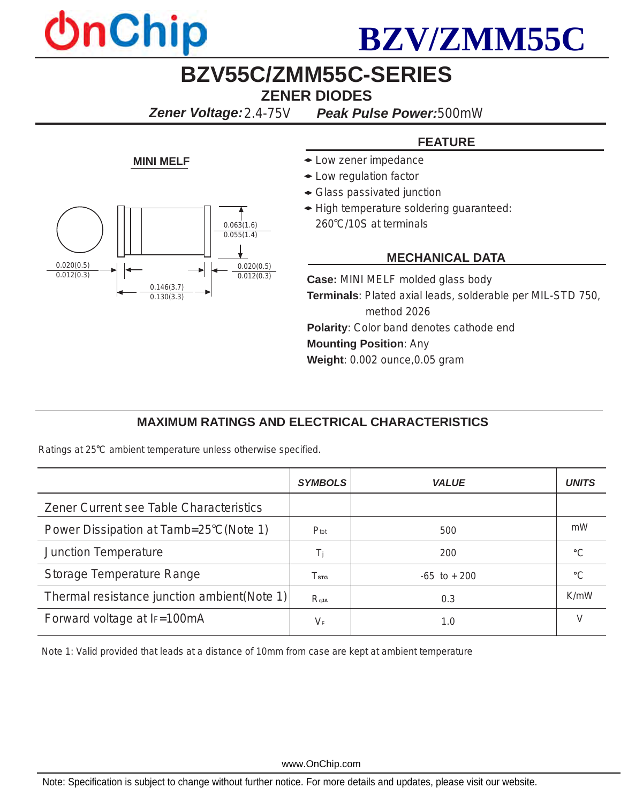



## **BZV55C/ZMM55C-SERIES ZENER DIODES**

*Zener Voltage:2.4-75V**Peak Pulse Power:500mW*

### **FEATURE**

- **MINI MELF**  $\bullet$  Low zener impedance
	- Low regulation factor
	- Glass passivated junction
	- High temperature soldering guaranteed: 260°C/10S at terminals

#### **MECHANICAL DATA**

**Case:** MINI MELF molded glass body **Terminals**: Plated axial leads, solderable per MIL-STD 750, method 2026 **Polarity**: Color band denotes cathode end **Mounting Position**: Any **Weight**: 0.002 ounce,0.05 gram

### **MAXIMUM RATINGS AND ELECTRICAL CHARACTERISTICS**

Ratings at 25°C ambient temperature unless otherwise specified.

*0.146(3.7) 0.130(3.3)*

*0.020(0.5) 0.012(0.3)* *0.063(1.6) 0.055(1.4)*

> *0.020(0.5) 0.012(0.3)*

|                                              | <b>SYMBOLS</b>   | VALUE           | UNITS   |
|----------------------------------------------|------------------|-----------------|---------|
| Zener Current see Table Characteristics      |                  |                 |         |
| Power Dissipation at Tamb=25°C(Note 1)       | $P_{\text{tot}}$ | 500             | mW      |
| <b>Junction Temperature</b>                  | Ti               | 200             | $\circ$ |
| <b>Storage Temperature Range</b>             | T <sub>STG</sub> | $-65$ to $+200$ | $\circ$ |
| Thermal resistance junction ambient (Note 1) | $R_{qJA}$        | 0.3             | K/mW    |
| Forward voltage at IF=100mA                  | $V_{\mathsf{F}}$ | 1.0             |         |

Note 1: Valid provided that leads at a distance of 10mm from case are kept at ambient temperature

www.OnChip.com

Note: Specification is subject to change without further notice. For more details and updates, please visit our website.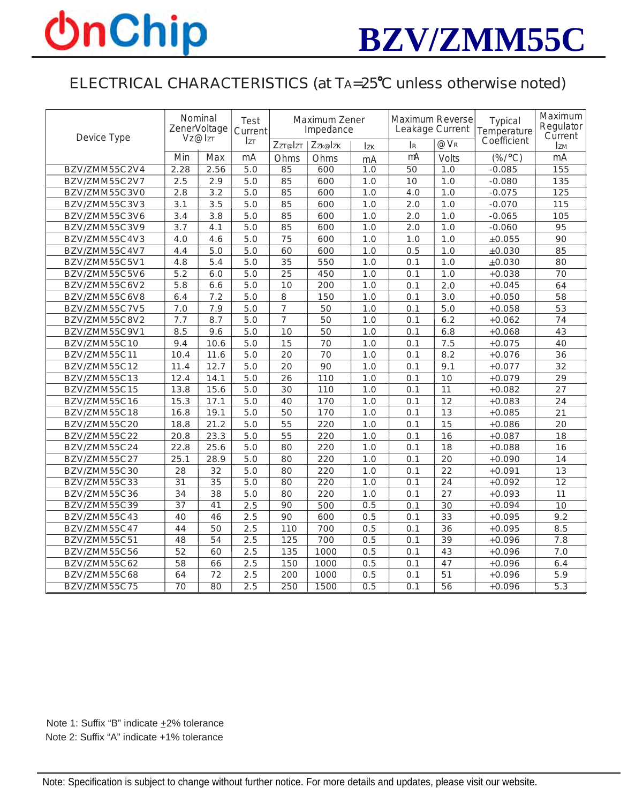## **OnChip**



### ELECTRICAL CHARACTERISTICS (at TA=25°C unless otherwise noted)

|               | Nominal<br>ZenerVoltage |                 | Test<br>Current | Maximum Zener<br>Impedance |         |            | <b>Maximum Reverse</b><br>Leakage Current |                               | Typical<br>Temperature | Maximum<br>Regulator<br>Current |
|---------------|-------------------------|-----------------|-----------------|----------------------------|---------|------------|-------------------------------------------|-------------------------------|------------------------|---------------------------------|
| Device Type   | VZ@IZT                  |                 | <b>Izt</b>      | Zzr@Izr                    | Zzk@Izk | <b>Izk</b> | IR                                        | $\overline{\omega_{\rm V_R}}$ | Coefficient            | <b>IzM</b>                      |
|               | Min                     | Max             | mA              | Ohms                       | Ohms    | mA         | mA                                        | <b>Volts</b>                  | $(\% / ^{\circ}C)$     | mA                              |
| BZV/ZMM55C2V4 | 2.28                    | 2.56            | 5.0             | 85                         | 600     | 1.0        | 50                                        | 1.0                           | $-0.085$               | 155                             |
| BZV/ZMM55C2V7 | 2.5                     | 2.9             | 5.0             | 85                         | 600     | 1.0        | 10                                        | 1.0                           | $-0.080$               | 135                             |
| BZV/ZMM55C3V0 | 2.8                     | 3.2             | 5.0             | 85                         | 600     | 1.0        | 4.0                                       | 1.0                           | $-0.075$               | 125                             |
| BZV/ZMM55C3V3 | 3.1                     | 3.5             | 5.0             | 85                         | 600     | 1.0        | 2.0                                       | 1.0                           | $-0.070$               | 115                             |
| BZV/ZMM55C3V6 | 3.4                     | 3.8             | 5.0             | 85                         | 600     | 1.0        | 2.0                                       | 1.0                           | $-0.065$               | 105                             |
| BZV/ZMM55C3V9 | 3.7                     | 4.1             | 5.0             | 85                         | 600     | 1.0        | 2.0                                       | 1.0                           | $-0.060$               | 95                              |
| BZV/ZMM55C4V3 | 4.0                     | 4.6             | 5.0             | 75                         | 600     | 1.0        | 1.0                                       | 1.0                           | $\pm 0.055$            | 90                              |
| BZV/ZMM55C4V7 | 4.4                     | 5.0             | 5.0             | 60                         | 600     | 1.0        | 0.5                                       | 1.0                           | ±0.030                 | 85                              |
| BZV/ZMM55C5V1 | 4.8                     | 5.4             | 5.0             | 35                         | 550     | 1.0        | 0.1                                       | 1.0                           | $\pm 0.030$            | 80                              |
| BZV/ZMM55C5V6 | 5.2                     | 6.0             | 5.0             | 25                         | 450     | 1.0        | 0.1                                       | 1.0                           | $+0.038$               | 70                              |
| BZV/ZMM55C6V2 | 5.8                     | 6.6             | 5.0             | 10                         | 200     | 1.0        | 0.1                                       | 2.0                           | $+0.045$               | 64                              |
| BZV/ZMM55C6V8 | 6.4                     | 7.2             | 5.0             | 8                          | 150     | 1.0        | 0.1                                       | 3.0                           | $+0.050$               | 58                              |
| BZV/ZMM55C7V5 | 7.0                     | 7.9             | 5.0             | $\overline{7}$             | 50      | 1.0        | 0.1                                       | 5.0                           | $+0.058$               | 53                              |
| BZV/ZMM55C8V2 | 7.7                     | 8.7             | 5.0             | $\overline{7}$             | 50      | 1.0        | 0.1                                       | 6.2                           | $+0.062$               | 74                              |
| BZV/ZMM55C9V1 | 8.5                     | 9.6             | 5.0             | 10                         | 50      | 1.0        | 0.1                                       | 6.8                           | $+0.068$               | 43                              |
| BZV/ZMM55C10  | 9.4                     | 10.6            | 5.0             | 15                         | 70      | 1.0        | 0.1                                       | 7.5                           | $+0.075$               | 40                              |
| BZV/ZMM55C11  | 10.4                    | 11.6            | 5.0             | 20                         | 70      | 1.0        | 0.1                                       | 8.2                           | $+0.076$               | 36                              |
| BZV/ZMM55C12  | 11.4                    | 12.7            | 5.0             | 20                         | 90      | 1.0        | 0.1                                       | 9.1                           | $+0.077$               | 32                              |
| BZV/ZMM55C13  | 12.4                    | 14.1            | 5.0             | 26                         | 110     | 1.0        | 0.1                                       | 10                            | $+0.079$               | 29                              |
| BZV/ZMM55C15  | 13.8                    | 15.6            | 5.0             | 30                         | 110     | 1.0        | 0.1                                       | 11                            | $+0.082$               | 27                              |
| BZV/ZMM55C16  | 15.3                    | 17.1            | 5.0             | 40                         | 170     | 1.0        | 0.1                                       | 12                            | $+0.083$               | 24                              |
| BZV/ZMM55C18  | 16.8                    | 19.1            | 5.0             | 50                         | 170     | 1.0        | 0.1                                       | 13                            | $+0.085$               | 21                              |
| BZV/ZMM55C20  | 18.8                    | 21.2            | 5.0             | 55                         | 220     | 1.0        | 0.1                                       | 15                            | $+0.086$               | 20                              |
| BZV/ZMM55C22  | 20.8                    | 23.3            | 5.0             | 55                         | 220     | 1.0        | 0.1                                       | 16                            | $+0.087$               | 18                              |
| BZV/ZMM55C24  | 22.8                    | 25.6            | 5.0             | 80                         | 220     | 1.0        | 0.1                                       | 18                            | $+0.088$               | 16                              |
| BZV/ZMM55C27  | 25.1                    | 28.9            | 5.0             | 80                         | 220     | 1.0        | 0.1                                       | 20                            | $+0.090$               | 14                              |
| BZV/ZMM55C30  | 28                      | 32              | 5.0             | 80                         | 220     | 1.0        | 0.1                                       | 22                            | $+0.091$               | 13                              |
| BZV/ZMM55C33  | $\overline{31}$         | $\overline{35}$ | 5.0             | 80                         | 220     | 1.0        | 0.1                                       | $\overline{24}$               | $+0.092$               | $\overline{12}$                 |
| BZV/ZMM55C36  | 34                      | 38              | 5.0             | 80                         | 220     | 1.0        | 0.1                                       | 27                            | $+0.093$               | 11                              |
| BZV/ZMM55C39  | 37                      | 41              | 2.5             | 90                         | 500     | 0.5        | 0.1                                       | 30                            | $+0.094$               | 10                              |
| BZV/ZMM55C43  | 40                      | 46              | 2.5             | 90                         | 600     | 0.5        | 0.1                                       | 33                            | $+0.095$               | 9.2                             |
| BZV/ZMM55C47  | 44                      | 50              | 2.5             | 110                        | 700     | 0.5        | 0.1                                       | 36                            | $+0.095$               | 8.5                             |
| BZV/ZMM55C51  | 48                      | 54              | 2.5             | 125                        | 700     | 0.5        | 0.1                                       | 39                            | $+0.096$               | 7.8                             |
| BZV/ZMM55C56  | 52                      | 60              | 2.5             | 135                        | 1000    | 0.5        | 0.1                                       | 43                            | $+0.096$               | 7.0                             |
| BZV/ZMM55C62  | 58                      | 66              | 2.5             | 150                        | 1000    | 0.5        | 0.1                                       | 47                            | $+0.096$               | 6.4                             |
| BZV/ZMM55C68  | 64                      | 72              | 2.5             | 200                        | 1000    | 0.5        | 0.1                                       | 51                            | $+0.096$               | 5.9                             |
| BZV/ZMM55C75  | $\overline{70}$         | $\overline{80}$ | 2.5             | 250                        | 1500    | 0.5        | $\overline{0.1}$                          | $\overline{56}$               | $+0.096$               | 5.3                             |

Note 1: Suffix "B" indicate  $\pm 2\%$  tolerance Note 2: Suffix "A" indicate +1% tolerance

Note: Specification is subject to change without further notice. For more details and updates, please visit our website.